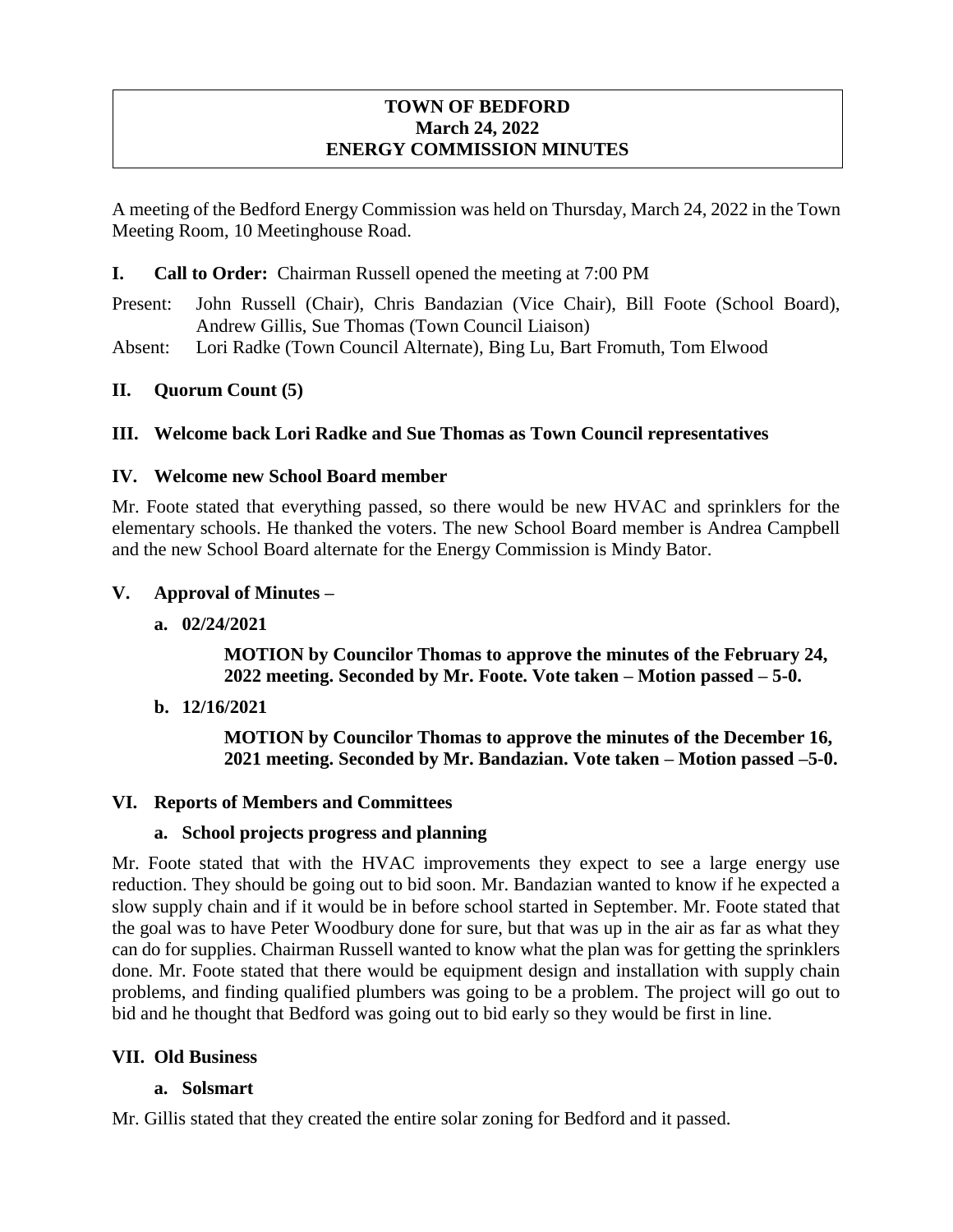# **TOWN OF BEDFORD March 24, 2022 ENERGY COMMISSION MINUTES**

A meeting of the Bedford Energy Commission was held on Thursday, March 24, 2022 in the Town Meeting Room, 10 Meetinghouse Road.

# **I. Call to Order:** Chairman Russell opened the meeting at 7:00 PM

Present: John Russell (Chair), Chris Bandazian (Vice Chair), Bill Foote (School Board), Andrew Gillis, Sue Thomas (Town Council Liaison)

Absent: Lori Radke (Town Council Alternate), Bing Lu, Bart Fromuth, Tom Elwood

# **II. Quorum Count (5)**

# **III. Welcome back Lori Radke and Sue Thomas as Town Council representatives**

# **IV. Welcome new School Board member**

Mr. Foote stated that everything passed, so there would be new HVAC and sprinklers for the elementary schools. He thanked the voters. The new School Board member is Andrea Campbell and the new School Board alternate for the Energy Commission is Mindy Bator.

#### **V. Approval of Minutes –**

**a. 02/24/2021**

**MOTION by Councilor Thomas to approve the minutes of the February 24, 2022 meeting. Seconded by Mr. Foote. Vote taken – Motion passed – 5-0.** 

**b. 12/16/2021** 

**MOTION by Councilor Thomas to approve the minutes of the December 16, 2021 meeting. Seconded by Mr. Bandazian. Vote taken – Motion passed –5-0.** 

# **VI. Reports of Members and Committees**

#### **a. School projects progress and planning**

Mr. Foote stated that with the HVAC improvements they expect to see a large energy use reduction. They should be going out to bid soon. Mr. Bandazian wanted to know if he expected a slow supply chain and if it would be in before school started in September. Mr. Foote stated that the goal was to have Peter Woodbury done for sure, but that was up in the air as far as what they can do for supplies. Chairman Russell wanted to know what the plan was for getting the sprinklers done. Mr. Foote stated that there would be equipment design and installation with supply chain problems, and finding qualified plumbers was going to be a problem. The project will go out to bid and he thought that Bedford was going out to bid early so they would be first in line.

# **VII. Old Business**

# **a. Solsmart**

Mr. Gillis stated that they created the entire solar zoning for Bedford and it passed.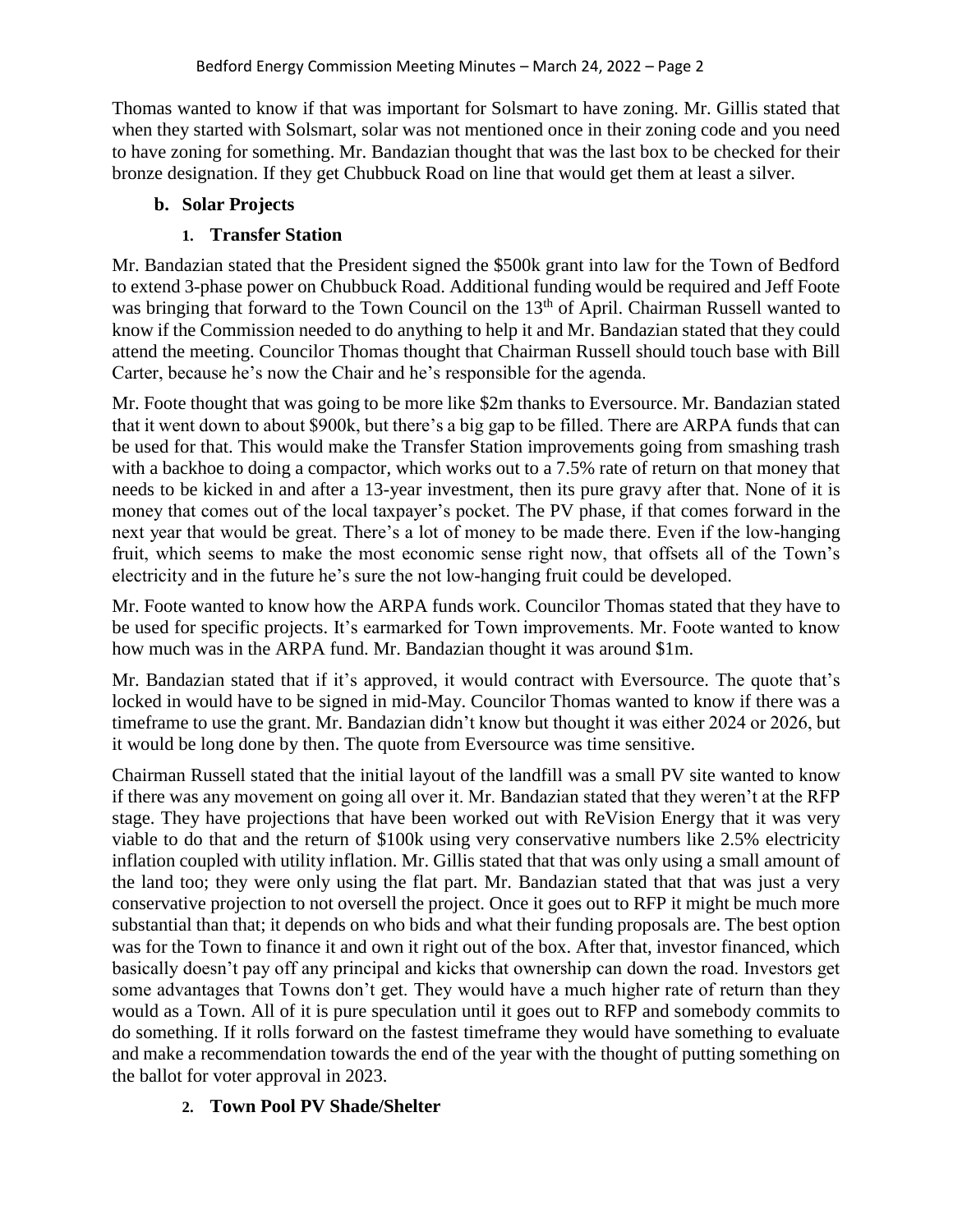Thomas wanted to know if that was important for Solsmart to have zoning. Mr. Gillis stated that when they started with Solsmart, solar was not mentioned once in their zoning code and you need to have zoning for something. Mr. Bandazian thought that was the last box to be checked for their bronze designation. If they get Chubbuck Road on line that would get them at least a silver.

# **b. Solar Projects**

# **1. Transfer Station**

Mr. Bandazian stated that the President signed the \$500k grant into law for the Town of Bedford to extend 3-phase power on Chubbuck Road. Additional funding would be required and Jeff Foote was bringing that forward to the Town Council on the 13<sup>th</sup> of April. Chairman Russell wanted to know if the Commission needed to do anything to help it and Mr. Bandazian stated that they could attend the meeting. Councilor Thomas thought that Chairman Russell should touch base with Bill Carter, because he's now the Chair and he's responsible for the agenda.

Mr. Foote thought that was going to be more like \$2m thanks to Eversource. Mr. Bandazian stated that it went down to about \$900k, but there's a big gap to be filled. There are ARPA funds that can be used for that. This would make the Transfer Station improvements going from smashing trash with a backhoe to doing a compactor, which works out to a 7.5% rate of return on that money that needs to be kicked in and after a 13-year investment, then its pure gravy after that. None of it is money that comes out of the local taxpayer's pocket. The PV phase, if that comes forward in the next year that would be great. There's a lot of money to be made there. Even if the low-hanging fruit, which seems to make the most economic sense right now, that offsets all of the Town's electricity and in the future he's sure the not low-hanging fruit could be developed.

Mr. Foote wanted to know how the ARPA funds work. Councilor Thomas stated that they have to be used for specific projects. It's earmarked for Town improvements. Mr. Foote wanted to know how much was in the ARPA fund. Mr. Bandazian thought it was around \$1m.

Mr. Bandazian stated that if it's approved, it would contract with Eversource. The quote that's locked in would have to be signed in mid-May. Councilor Thomas wanted to know if there was a timeframe to use the grant. Mr. Bandazian didn't know but thought it was either 2024 or 2026, but it would be long done by then. The quote from Eversource was time sensitive.

Chairman Russell stated that the initial layout of the landfill was a small PV site wanted to know if there was any movement on going all over it. Mr. Bandazian stated that they weren't at the RFP stage. They have projections that have been worked out with ReVision Energy that it was very viable to do that and the return of \$100k using very conservative numbers like 2.5% electricity inflation coupled with utility inflation. Mr. Gillis stated that that was only using a small amount of the land too; they were only using the flat part. Mr. Bandazian stated that that was just a very conservative projection to not oversell the project. Once it goes out to RFP it might be much more substantial than that; it depends on who bids and what their funding proposals are. The best option was for the Town to finance it and own it right out of the box. After that, investor financed, which basically doesn't pay off any principal and kicks that ownership can down the road. Investors get some advantages that Towns don't get. They would have a much higher rate of return than they would as a Town. All of it is pure speculation until it goes out to RFP and somebody commits to do something. If it rolls forward on the fastest timeframe they would have something to evaluate and make a recommendation towards the end of the year with the thought of putting something on the ballot for voter approval in 2023.

# **2. Town Pool PV Shade/Shelter**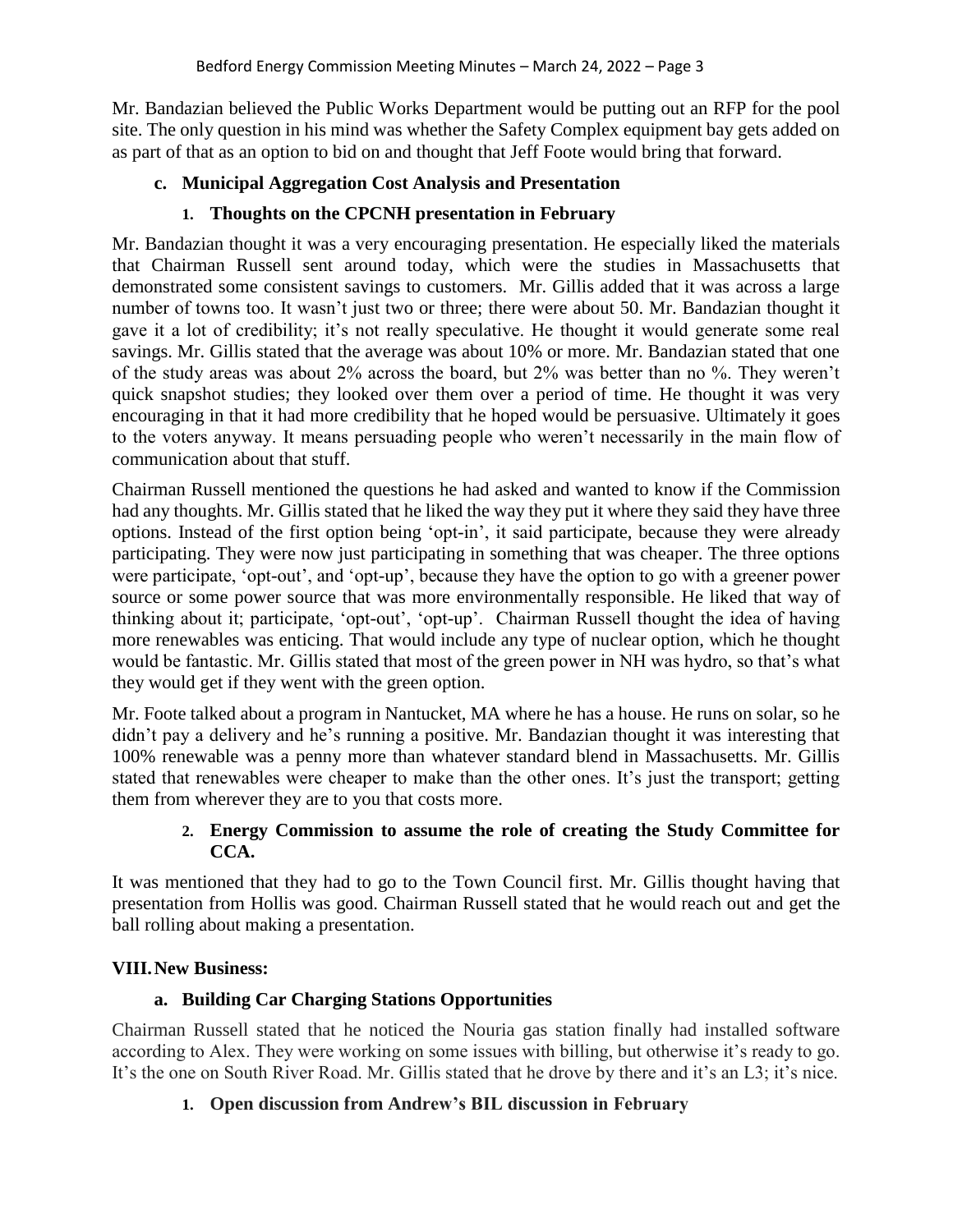Mr. Bandazian believed the Public Works Department would be putting out an RFP for the pool site. The only question in his mind was whether the Safety Complex equipment bay gets added on as part of that as an option to bid on and thought that Jeff Foote would bring that forward.

# **c. Municipal Aggregation Cost Analysis and Presentation**

# **1. Thoughts on the CPCNH presentation in February**

Mr. Bandazian thought it was a very encouraging presentation. He especially liked the materials that Chairman Russell sent around today, which were the studies in Massachusetts that demonstrated some consistent savings to customers. Mr. Gillis added that it was across a large number of towns too. It wasn't just two or three; there were about 50. Mr. Bandazian thought it gave it a lot of credibility; it's not really speculative. He thought it would generate some real savings. Mr. Gillis stated that the average was about 10% or more. Mr. Bandazian stated that one of the study areas was about 2% across the board, but 2% was better than no %. They weren't quick snapshot studies; they looked over them over a period of time. He thought it was very encouraging in that it had more credibility that he hoped would be persuasive. Ultimately it goes to the voters anyway. It means persuading people who weren't necessarily in the main flow of communication about that stuff.

Chairman Russell mentioned the questions he had asked and wanted to know if the Commission had any thoughts. Mr. Gillis stated that he liked the way they put it where they said they have three options. Instead of the first option being 'opt-in', it said participate, because they were already participating. They were now just participating in something that was cheaper. The three options were participate, 'opt-out', and 'opt-up', because they have the option to go with a greener power source or some power source that was more environmentally responsible. He liked that way of thinking about it; participate, 'opt-out', 'opt-up'. Chairman Russell thought the idea of having more renewables was enticing. That would include any type of nuclear option, which he thought would be fantastic. Mr. Gillis stated that most of the green power in NH was hydro, so that's what they would get if they went with the green option.

Mr. Foote talked about a program in Nantucket, MA where he has a house. He runs on solar, so he didn't pay a delivery and he's running a positive. Mr. Bandazian thought it was interesting that 100% renewable was a penny more than whatever standard blend in Massachusetts. Mr. Gillis stated that renewables were cheaper to make than the other ones. It's just the transport; getting them from wherever they are to you that costs more.

# **2. Energy Commission to assume the role of creating the Study Committee for CCA.**

It was mentioned that they had to go to the Town Council first. Mr. Gillis thought having that presentation from Hollis was good. Chairman Russell stated that he would reach out and get the ball rolling about making a presentation.

# **VIII.New Business:**

# **a. Building Car Charging Stations Opportunities**

Chairman Russell stated that he noticed the Nouria gas station finally had installed software according to Alex. They were working on some issues with billing, but otherwise it's ready to go. It's the one on South River Road. Mr. Gillis stated that he drove by there and it's an L3; it's nice.

# **1. Open discussion from Andrew's BIL discussion in February**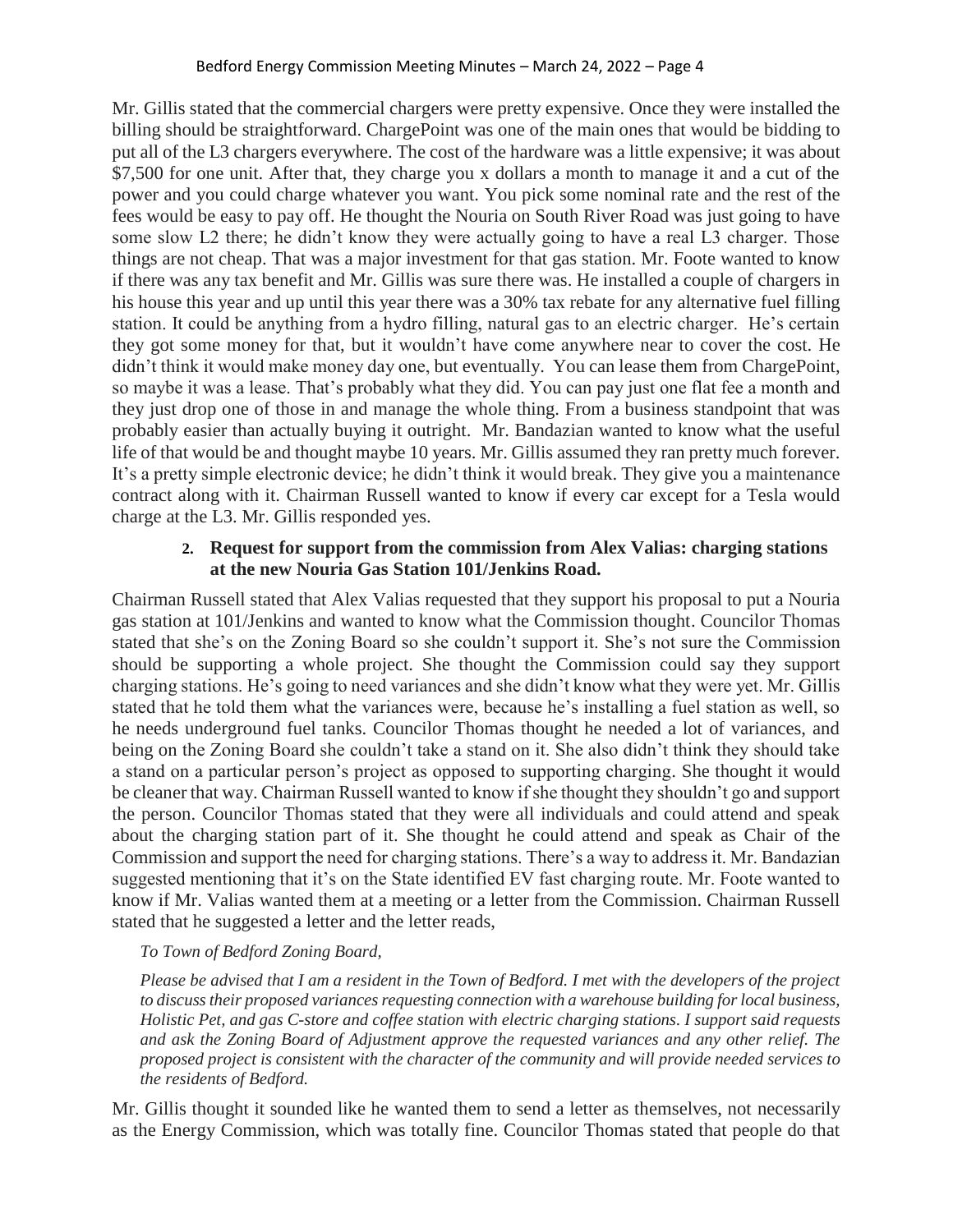Mr. Gillis stated that the commercial chargers were pretty expensive. Once they were installed the billing should be straightforward. ChargePoint was one of the main ones that would be bidding to put all of the L3 chargers everywhere. The cost of the hardware was a little expensive; it was about \$7,500 for one unit. After that, they charge you x dollars a month to manage it and a cut of the power and you could charge whatever you want. You pick some nominal rate and the rest of the fees would be easy to pay off. He thought the Nouria on South River Road was just going to have some slow L2 there; he didn't know they were actually going to have a real L3 charger. Those things are not cheap. That was a major investment for that gas station. Mr. Foote wanted to know if there was any tax benefit and Mr. Gillis was sure there was. He installed a couple of chargers in his house this year and up until this year there was a 30% tax rebate for any alternative fuel filling station. It could be anything from a hydro filling, natural gas to an electric charger. He's certain they got some money for that, but it wouldn't have come anywhere near to cover the cost. He didn't think it would make money day one, but eventually. You can lease them from ChargePoint, so maybe it was a lease. That's probably what they did. You can pay just one flat fee a month and they just drop one of those in and manage the whole thing. From a business standpoint that was probably easier than actually buying it outright. Mr. Bandazian wanted to know what the useful life of that would be and thought maybe 10 years. Mr. Gillis assumed they ran pretty much forever. It's a pretty simple electronic device; he didn't think it would break. They give you a maintenance contract along with it. Chairman Russell wanted to know if every car except for a Tesla would charge at the L3. Mr. Gillis responded yes.

#### **2. Request for support from the commission from Alex Valias: charging stations at the new Nouria Gas Station 101/Jenkins Road.**

Chairman Russell stated that Alex Valias requested that they support his proposal to put a Nouria gas station at 101/Jenkins and wanted to know what the Commission thought. Councilor Thomas stated that she's on the Zoning Board so she couldn't support it. She's not sure the Commission should be supporting a whole project. She thought the Commission could say they support charging stations. He's going to need variances and she didn't know what they were yet. Mr. Gillis stated that he told them what the variances were, because he's installing a fuel station as well, so he needs underground fuel tanks. Councilor Thomas thought he needed a lot of variances, and being on the Zoning Board she couldn't take a stand on it. She also didn't think they should take a stand on a particular person's project as opposed to supporting charging. She thought it would be cleaner that way. Chairman Russell wanted to know if she thought they shouldn't go and support the person. Councilor Thomas stated that they were all individuals and could attend and speak about the charging station part of it. She thought he could attend and speak as Chair of the Commission and support the need for charging stations. There's a way to address it. Mr. Bandazian suggested mentioning that it's on the State identified EV fast charging route. Mr. Foote wanted to know if Mr. Valias wanted them at a meeting or a letter from the Commission. Chairman Russell stated that he suggested a letter and the letter reads,

# *To Town of Bedford Zoning Board,*

*Please be advised that I am a resident in the Town of Bedford. I met with the developers of the project to discuss their proposed variances requesting connection with a warehouse building for local business, Holistic Pet, and gas C-store and coffee station with electric charging stations. I support said requests and ask the Zoning Board of Adjustment approve the requested variances and any other relief. The proposed project is consistent with the character of the community and will provide needed services to the residents of Bedford.* 

Mr. Gillis thought it sounded like he wanted them to send a letter as themselves, not necessarily as the Energy Commission, which was totally fine. Councilor Thomas stated that people do that